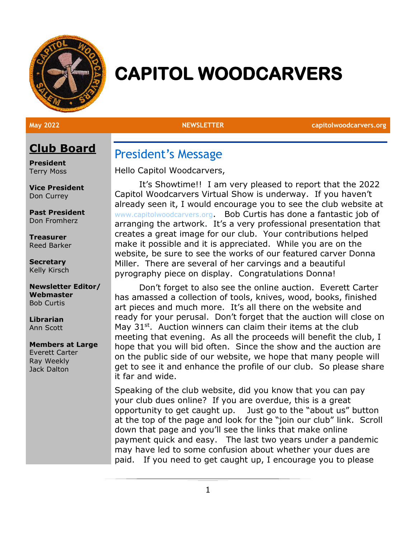

# **CAPITOL WOODCARVERS**

**May 2022 NEWSLETTER capitolwoodcarvers.org**

# **Club Board**

**President** Terry Moss

**Vice President** Don Currey

**Past President** Don Fromherz

**Treasurer** Reed Barker

**Secretary** Kelly Kirsch

**Newsletter Editor/ Webmaster** Bob Curtis

**Librarian** Ann Scott

#### **Members at Large**

Everett Carter Ray Weekly Jack Dalton

### President's Message

Hello Capitol Woodcarvers,

It's Showtime!! I am very pleased to report that the 2022 Capitol Woodcarvers Virtual Show is underway. If you haven't already seen it, I would encourage you to see the club website at [www.capitolwoodcarvers.org](http://www.capitolwoodcarvers.org/). Bob Curtis has done a fantastic job of arranging the artwork. It's a very professional presentation that creates a great image for our club. Your contributions helped make it possible and it is appreciated. While you are on the website, be sure to see the works of our featured carver Donna Miller. There are several of her carvings and a beautiful pyrography piece on display. Congratulations Donna!

Don't forget to also see the online auction. Everett Carter has amassed a collection of tools, knives, wood, books, finished art pieces and much more. It's all there on the website and ready for your perusal. Don't forget that the auction will close on May  $31<sup>st</sup>$ . Auction winners can claim their items at the club meeting that evening. As all the proceeds will benefit the club, I hope that you will bid often. Since the show and the auction are on the public side of our website, we hope that many people will get to see it and enhance the profile of our club. So please share it far and wide.

Speaking of the club website, did you know that you can pay your club dues online? If you are overdue, this is a great opportunity to get caught up. Just go to the "about us" button at the top of the page and look for the "join our club" link. Scroll down that page and you'll see the links that make online payment quick and easy. The last two years under a pandemic may have led to some confusion about whether your dues are paid. If you need to get caught up, I encourage you to please

1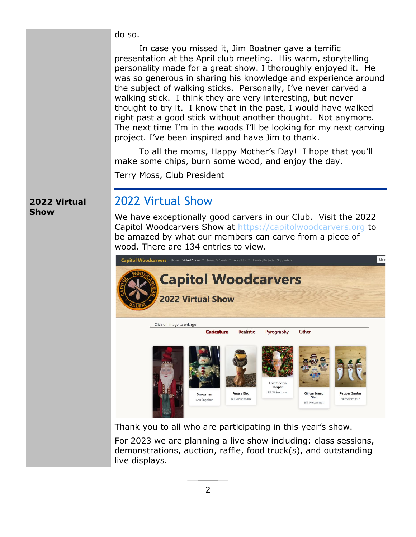do so.

In case you missed it, Jim Boatner gave a terrific presentation at the April club meeting. His warm, storytelling personality made for a great show. I thoroughly enjoyed it. He was so generous in sharing his knowledge and experience around the subject of walking sticks. Personally, I've never carved a walking stick. I think they are very interesting, but never thought to try it. I know that in the past, I would have walked right past a good stick without another thought. Not anymore. The next time I'm in the woods I'll be looking for my next carving project. I've been inspired and have Jim to thank.

To all the moms, Happy Mother's Day! I hope that you'll make some chips, burn some wood, and enjoy the day.

Terry Moss, Club President

#### **2022 Virtual Show**

# 2022 Virtual Show

We have exceptionally good carvers in our Club. Visit the 2022 Capitol Woodcarvers Show at [https://capitolwoodcarvers.org](https://capitolwoodcarvers.org/) to be amazed by what our members can carve from a piece of wood. There are 134 entries to view.



Thank you to all who are participating in this year's show.

For 2023 we are planning a live show including: class sessions, demonstrations, auction, raffle, food truck(s), and outstanding live displays.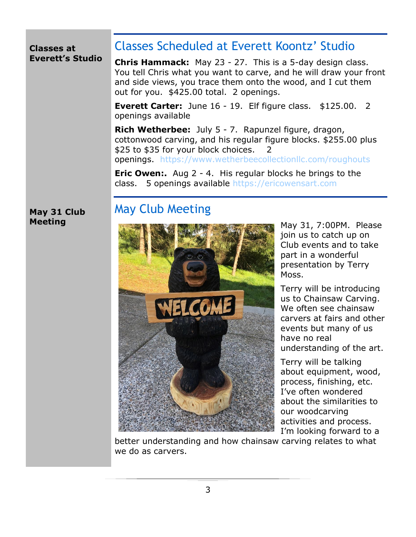#### **Classes at Everett's Studio**

# Classes Scheduled at Everett Koontz' Studio

**Chris Hammack:** May 23 - 27. This is a 5-day design class. You tell Chris what you want to carve, and he will draw your front and side views, you trace them onto the wood, and I cut them out for you. \$425.00 total. 2 openings.

**Everett Carter:** June 16 - 19. Elf figure class. \$125.00. 2 openings available

**Rich Wetherbee:** July 5 - 7. Rapunzel figure, dragon, cottonwood carving, and his regular figure blocks. \$255.00 plus \$25 to \$35 for your block choices. 2 openings. <https://www.wetherbeecollectionllc.com/roughouts>

**Eric Owen:.** Aug 2 - 4. His regular blocks he brings to the class. 5 openings available [https://ericowensart.com](https://ericowensart.com/)

#### **May 31 Club Meeting**

# May Club Meeting



May 31, 7:00PM. Please join us to catch up on Club events and to take part in a wonderful presentation by Terry Moss.

Terry will be introducing us to Chainsaw Carving. We often see chainsaw carvers at fairs and other events but many of us have no real understanding of the art.

Terry will be talking about equipment, wood, process, finishing, etc. I've often wondered about the similarities to our woodcarving activities and process. I'm looking forward to a

better understanding and how chainsaw carving relates to what we do as carvers.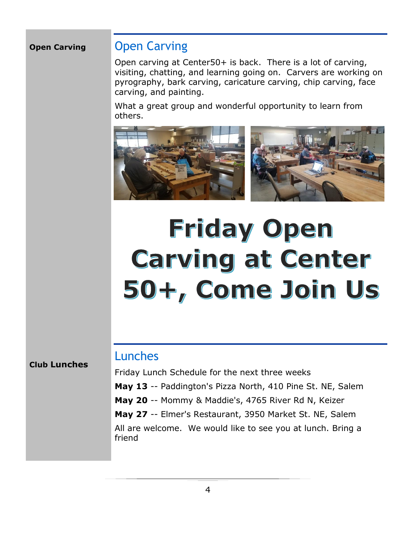#### **Open Carving**

### Open Carving

Open carving at Center50+ is back. There is a lot of carving, visiting, chatting, and learning going on. Carvers are working on pyrography, bark carving, caricature carving, chip carving, face carving, and painting.

What a great group and wonderful opportunity to learn from others.



# **Friday Open Carving at Center** 50+, Come Join Us

# Lunches

Friday Lunch Schedule for the next three weeks **May 13** -- Paddington's Pizza North, 410 Pine St. NE, Salem **May 20** -- Mommy & Maddie's, 4765 River Rd N, Keizer **May 27** -- Elmer's Restaurant, 3950 Market St. NE, Salem All are welcome. We would like to see you at lunch. Bring a friend

**Club Lunches**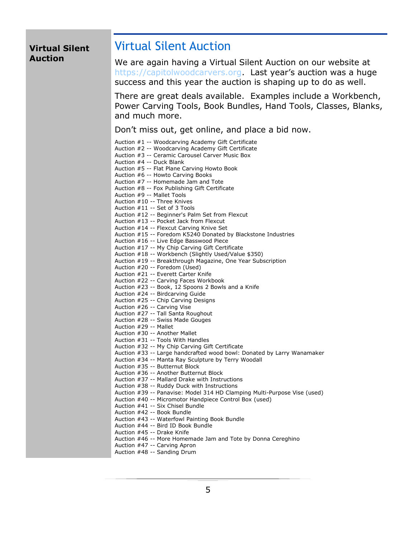#### **Virtual Silent Auction**

#### Virtual Silent Auction

We are again having a Virtual Silent Auction on our website at [https://capitolwoodcarvers.org.](https://capitolwoodcarvers.org/) Last year's auction was a huge success and this year the auction is shaping up to do as well.

There are great deals available. Examples include a Workbench, Power Carving Tools, Book Bundles, Hand Tools, Classes, Blanks, and much more.

Don't miss out, get online, and place a bid now.

| Auction #1 -- Woodcarving Academy Gift Certificate                       |
|--------------------------------------------------------------------------|
| Auction #2 -- Woodcarving Academy Gift Certificate                       |
| Auction #3 -- Ceramic Carousel Carver Music Box                          |
| Auction #4 -- Duck Blank                                                 |
| Auction #5 -- Flat Plane Carving Howto Book                              |
| Auction #6 -- Howto Carving Books                                        |
| Auction #7 -- Homemade Jam and Tote                                      |
| Auction #8 -- Fox Publishing Gift Certificate                            |
| Auction #9 -- Mallet Tools                                               |
| Auction #10 -- Three Knives                                              |
| Auction #11 -- Set of 3 Tools                                            |
| Auction #12 -- Beginner's Palm Set from Flexcut                          |
| Auction #13 -- Pocket Jack from Flexcut                                  |
| Auction #14 -- Flexcut Carving Knive Set                                 |
| Auction #15 -- Foredom K5240 Donated by Blackstone Industries            |
| Auction #16 -- Live Edge Basswood Piece                                  |
| Auction #17 -- My Chip Carving Gift Certificate                          |
| Auction #18 -- Workbench (Slightly Used/Value \$350)                     |
| Auction #19 -- Breakthrough Magazine, One Year Subscription              |
| Auction #20 -- Foredom (Used)                                            |
| Auction #21 -- Everett Carter Knife                                      |
| Auction #22 -- Carving Faces Workbook                                    |
| Auction #23 -- Book, 12 Spoons 2 Bowls and a Knife                       |
| Auction #24 -- Birdcarving Guide                                         |
| Auction #25 -- Chip Carving Designs                                      |
| Auction #26 -- Carving Vise                                              |
| Auction #27 -- Tall Santa Roughout                                       |
| Auction #28 -- Swiss Made Gouges                                         |
| Auction #29 -- Mallet                                                    |
| Auction #30 -- Another Mallet                                            |
| Auction #31 -- Tools With Handles                                        |
| Auction #32 -- My Chip Carving Gift Certificate                          |
| Auction #33 -- Large handcrafted wood bowl: Donated by Larry Wanamaker   |
| Auction #34 -- Manta Ray Sculpture by Terry Woodall                      |
| Auction #35 -- Butternut Block                                           |
| Auction #36 -- Another Butternut Block                                   |
| Auction #37 -- Mallard Drake with Instructions                           |
| Auction #38 -- Ruddy Duck with Instructions                              |
| Auction #39 -- Panavise: Model 314 HD Clamping Multi-Purpose Vise (used) |
| Auction #40 -- Micromotor Handpiece Control Box (used)                   |
| Auction #41 -- Six Chisel Bundle                                         |
| Auction #42 -- Book Bundle                                               |
| Auction #43 -- Waterfowl Painting Book Bundle                            |
| Auction #44 -- Bird ID Book Bundle                                       |
| Auction #45 -- Drake Knife                                               |
| Auction #46 -- More Homemade Jam and Tote by Donna Cereghino             |
| Auction #47 -- Carving Apron                                             |
| Auction #48 -- Sanding Drum                                              |